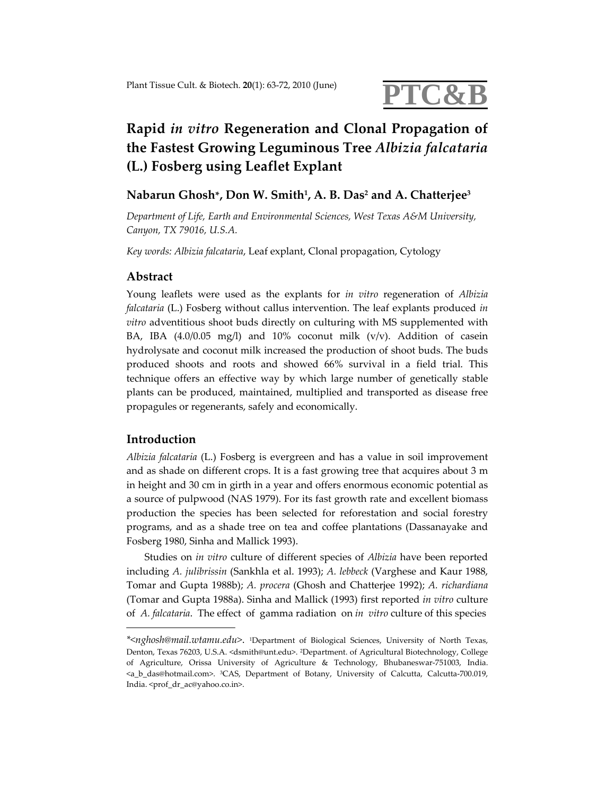# Plant Tissue Cult. & Biotech. **<sup>20</sup>**(1): 63-72, 2010 (June) **PTC&B**

## **Rapid** *in vitro* **Regeneration and Clonal Propagation of the Fastest Growing Leguminous Tree** *Albizia falcataria* **(L.) Fosberg using Leaflet Explant**

### **Nabarun Ghosh\*, Don W. Smith1 , A. B. Das2 and A. Chatterjee3**

*Department of Life, Earth and Environmental Sciences, West Texas A&M University, Canyon, TX 79016, U.S.A.* 

*Key words: Albizia falcataria*, Leaf explant, Clonal propagation, Cytology

#### **Abstract**

Young leaflets were used as the explants for *in vitro* regeneration of *Albizia falcataria* (L.) Fosberg without callus intervention. The leaf explants produced *in vitro* adventitious shoot buds directly on culturing with MS supplemented with BA, IBA  $(4.0/0.05 \text{ mg/l})$  and 10% coconut milk  $(v/v)$ . Addition of casein hydrolysate and coconut milk increased the production of shoot buds. The buds produced shoots and roots and showed 66% survival in a field trial. This technique offers an effective way by which large number of genetically stable plants can be produced, maintained, multiplied and transported as disease free propagules or regenerants, safely and economically.

#### **Introduction**

*Albizia falcataria* (L.) Fosberg is evergreen and has a value in soil improvement and as shade on different crops. It is a fast growing tree that acquires about 3 m in height and 30 cm in girth in a year and offers enormous economic potential as a source of pulpwood (NAS 1979). For its fast growth rate and excellent biomass production the species has been selected for reforestation and social forestry programs, and as a shade tree on tea and coffee plantations (Dassanayake and Fosberg 1980, Sinha and Mallick 1993).

Studies on *in vitro* culture of different species of *Albizia* have been reported including *A. julibrissin* (Sankhla et al. 1993); *A. lebbeck* (Varghese and Kaur 1988, Tomar and Gupta 1988b); *A. procera* (Ghosh and Chatterjee 1992); *A. richardiana* (Tomar and Gupta 1988a). Sinha and Mallick (1993) first reported *in vitro* culture of *A. falcataria*. The effect of gamma radiation on *in vitro* culture of this species

*<sup>\*&</sup>lt;[nghosh@mail.wtamu.edu](mailto:nghosh@mail.wtamu.edu)>*. 1Department of Biological Sciences, University of North Texas, Denton, Texas 76203, U.S.A. <[dsmith@unt.edu>](mailto:dsmith@unt.edu). 2Department. of Agricultural Biotechnology, College of Agriculture, Orissa University of Agriculture & Technology, Bhubaneswar‐751003, India. <[a\\_b\\_das@hotmail.com](mailto:a_b_das@hotmail.com)>. 3CAS, Department of Botany, University of Calcutta, Calcutta‐700.019, India. <[prof\\_dr\\_ac@yahoo.co.in](mailto:prof_dr_ac@yahoo.co.in)>.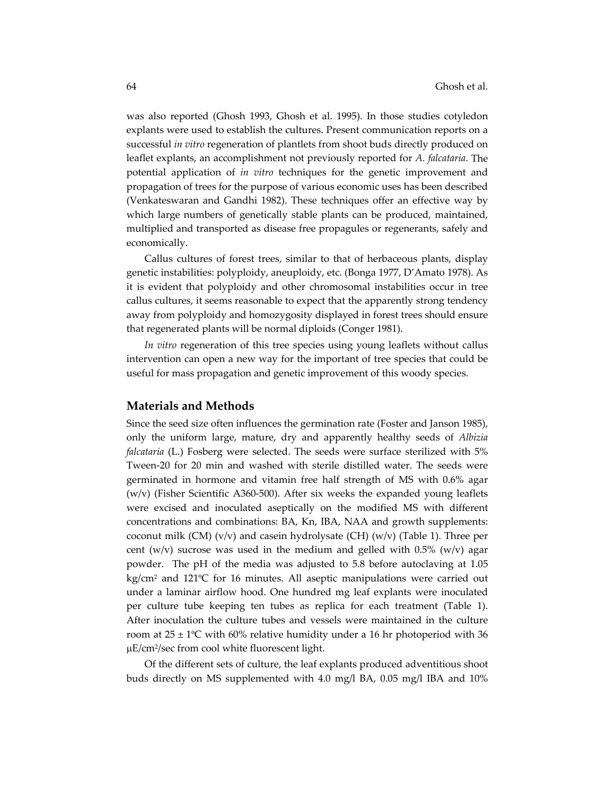was also reported (Ghosh 1993, Ghosh et al. 1995). In those studies cotyledon explants were used to establish the cultures. Present communication reports on a successful *in vitro* regeneration of plantlets from shoot buds directly produced on leaflet explants, an accomplishment not previously reported for *A. falcataria*. The potential application of *in vitro* techniques for the genetic improvement and propagation of trees for the purpose of various economic uses has been described (Venkateswaran and Gandhi 1982). These techniques offer an effective way by which large numbers of genetically stable plants can be produced, maintained, multiplied and transported as disease free propagules or regenerants, safely and economically.

Callus cultures of forest trees, similar to that of herbaceous plants, display genetic instabilities: polyploidy, aneuploidy, etc. (Bonga 1977, D'Amato 1978). As it is evident that polyploidy and other chromosomal instabilities occur in tree callus cultures, it seems reasonable to expect that the apparently strong tendency away from polyploidy and homozygosity displayed in forest trees should ensure that regenerated plants will be normal diploids (Conger 1981).

*In vitro* regeneration of this tree species using young leaflets without callus intervention can open a new way for the important of tree species that could be useful for mass propagation and genetic improvement of this woody species.

#### **Materials and Methods**

Since the seed size often influences the germination rate (Foster and Janson 1985), only the uniform large, mature, dry and apparently healthy seeds of *Albizia falcataria* (L.) Fosberg were selected. The seeds were surface sterilized with 5% Tween‐20 for 20 min and washed with sterile distilled water. The seeds were germinated in hormone and vitamin free half strength of MS with 0.6% agar  $(w/v)$  (Fisher Scientific A360-500). After six weeks the expanded young leaflets were excised and inoculated aseptically on the modified MS with different concentrations and combinations: BA, Kn, IBA, NAA and growth supplements: coconut milk (CM) ( $v/v$ ) and casein hydrolysate (CH) ( $w/v$ ) (Table 1). Three per cent  $(w/v)$  sucrose was used in the medium and gelled with 0.5%  $(w/v)$  agar powder. The pH of the media was adjusted to 5.8 before autoclaving at 1.05 kg/cm<sup>2</sup> and 121°C for 16 minutes. All aseptic manipulations were carried out under a laminar airflow hood. One hundred mg leaf explants were inoculated per culture tube keeping ten tubes as replica for each treatment (Table 1). After inoculation the culture tubes and vessels were maintained in the culture room at  $25 \pm 1$ °C with 60% relative humidity under a 16 hr photoperiod with 36 µE/cm2/sec from cool white fluorescent light.

Of the different sets of culture, the leaf explants produced adventitious shoot buds directly on MS supplemented with 4.0 mg/l BA, 0.05 mg/l IBA and 10%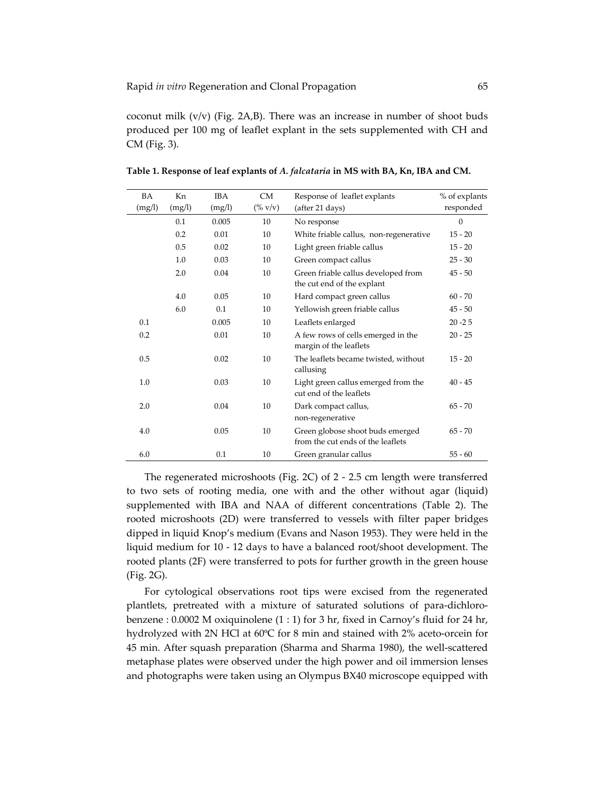coconut milk  $(v/v)$  (Fig. 2A,B). There was an increase in number of shoot buds produced per 100 mg of leaflet explant in the sets supplemented with CH and CM (Fig. 3).

| BA     | Kn     | <b>IBA</b> | CM                 | Response of leaflet explants                                          | % of explants |
|--------|--------|------------|--------------------|-----------------------------------------------------------------------|---------------|
| (mg/l) | (mg/l) | (mg/l)     | $(\% \text{ V/v})$ | (after 21 days)                                                       | responded     |
|        | 0.1    | 0.005      | 10                 | No response                                                           | $\Omega$      |
|        | 0.2    | 0.01       | 10                 | White friable callus, non-regenerative                                | $15 - 20$     |
|        | 0.5    | 0.02       | 10                 | Light green friable callus                                            | $15 - 20$     |
|        | 1.0    | 0.03       | 10                 | Green compact callus                                                  | $25 - 30$     |
|        | 2.0    | 0.04       | 10                 | Green friable callus developed from<br>the cut end of the explant     | $45 - 50$     |
|        | 4.0    | 0.05       | 10                 | Hard compact green callus                                             | $60 - 70$     |
|        | 6.0    | 0.1        | 10                 | Yellowish green friable callus                                        | $45 - 50$     |
| 0.1    |        | 0.005      | 10                 | Leaflets enlarged                                                     | $20 - 25$     |
| 0.2    |        | 0.01       | 10                 | A few rows of cells emerged in the<br>margin of the leaflets          | $20 - 25$     |
| 0.5    |        | 0.02       | 10                 | The leaflets became twisted, without<br>callusing                     | $15 - 20$     |
| 1.0    |        | 0.03       | 10                 | Light green callus emerged from the<br>cut end of the leaflets        | $40 - 45$     |
| 2.0    |        | 0.04       | 10                 | Dark compact callus,<br>non-regenerative                              | $65 - 70$     |
| 4.0    |        | 0.05       | 10                 | Green globose shoot buds emerged<br>from the cut ends of the leaflets | $65 - 70$     |
| 6.0    |        | 0.1        | 10                 | Green granular callus                                                 | $55 - 60$     |

**Table 1. Response of leaf explants of** *A. falcataria* **in MS with BA, Kn, IBA and CM.** 

The regenerated microshoots (Fig. 2C) of 2 ‐ 2.5 cm length were transferred to two sets of rooting media, one with and the other without agar (liquid) supplemented with IBA and NAA of different concentrations (Table 2). The rooted microshoots (2D) were transferred to vessels with filter paper bridges dipped in liquid Knop's medium (Evans and Nason 1953). They were held in the liquid medium for 10 ‐ 12 days to have a balanced root/shoot development. The rooted plants (2F) were transferred to pots for further growth in the green house (Fig. 2G).

For cytological observations root tips were excised from the regenerated plantlets, pretreated with a mixture of saturated solutions of para‐dichloro‐ benzene : 0.0002 M oxiquinolene (1 : 1) for 3 hr, fixed in Carnoy's fluid for 24 hr, hydrolyzed with 2N HCl at 60ºC for 8 min and stained with 2% aceto‐orcein for 45 min. After squash preparation (Sharma and Sharma 1980), the well‐scattered metaphase plates were observed under the high power and oil immersion lenses and photographs were taken using an Olympus BX40 microscope equipped with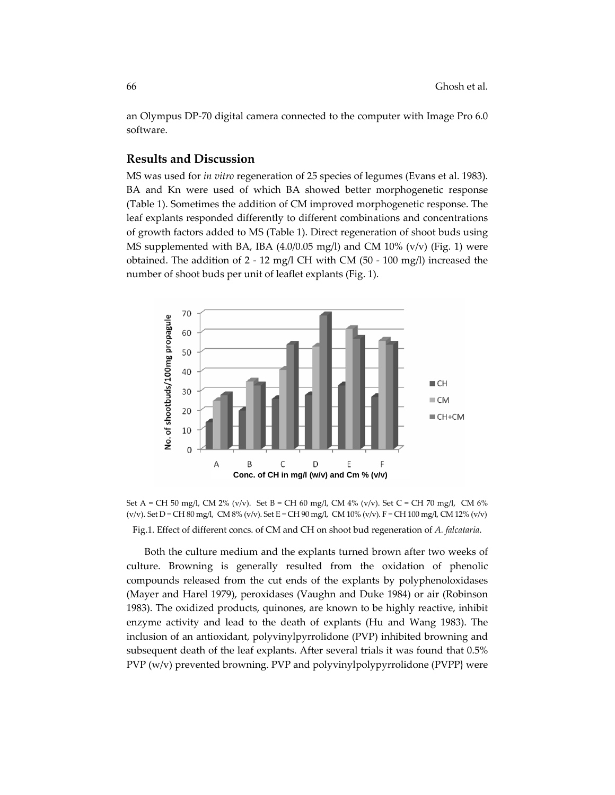an Olympus DP‐70 digital camera connected to the computer with Image Pro 6.0 software.

#### **Results and Discussion**

MS was used for *in vitro* regeneration of 25 species of legumes (Evans et al. 1983). BA and Kn were used of which BA showed better morphogenetic response (Table 1). Sometimes the addition of CM improved morphogenetic response. The leaf explants responded differently to different combinations and concentrations of growth factors added to MS (Table 1). Direct regeneration of shoot buds using MS supplemented with BA, IBA  $(4.0/0.05 \text{ mg/l})$  and CM 10%  $(v/v)$  (Fig. 1) were obtained. The addition of 2 - 12 mg/l CH with CM (50 - 100 mg/l) increased the number of shoot buds per unit of leaflet explants (Fig. 1).



Set A = CH 50 mg/l, CM 2% (v/v). Set B = CH 60 mg/l, CM 4% (v/v). Set C = CH 70 mg/l, CM 6%  $(v/v)$ . Set D = CH 80 mg/l, CM 8%  $(v/v)$ . Set E = CH 90 mg/l, CM 10%  $(v/v)$ . F = CH 100 mg/l, CM 12%  $(v/v)$ Fig.1. Effect of different concs. of CM and CH on shoot bud regeneration of *A. falcataria*.

Both the culture medium and the explants turned brown after two weeks of culture. Browning is generally resulted from the oxidation of phenolic compounds released from the cut ends of the explants by polyphenoloxidases (Mayer and Harel 1979), peroxidases (Vaughn and Duke 1984) or air (Robinson 1983). The oxidized products, quinones, are known to be highly reactive, inhibit enzyme activity and lead to the death of explants (Hu and Wang 1983). The inclusion of an antioxidant, polyvinylpyrrolidone (PVP) inhibited browning and subsequent death of the leaf explants. After several trials it was found that 0.5% PVP (w/v) prevented browning. PVP and polyvinylpolypyrrolidone (PVPP} were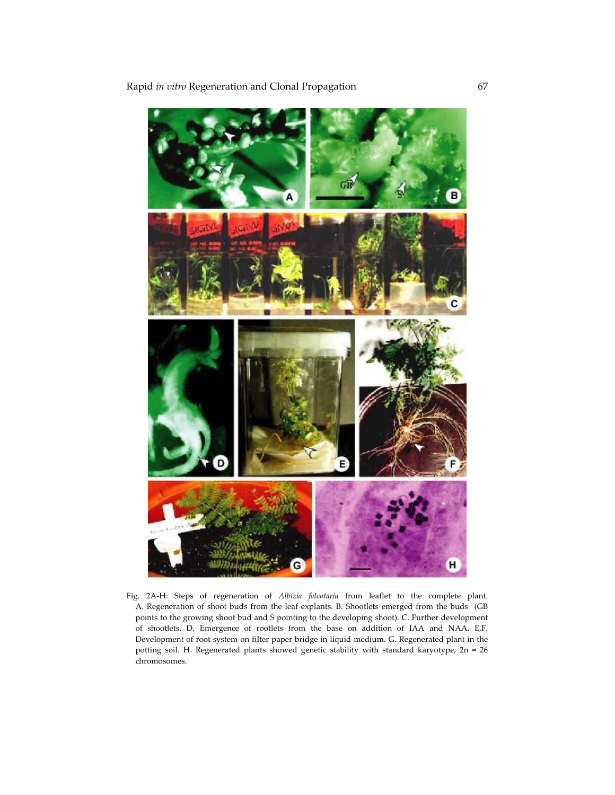Rapid *in vitro* Regeneration and Clonal Propagation 67



Fig. 2A‐H: Steps of regeneration of *Albizia falcataria* from leaflet to the complete plant. A. Regeneration of shoot buds from the leaf explants. B. Shootlets emerged from the buds (GB points to the growing shoot bud and S pointing to the developing shoot). C. Further development of shootlets. D. Emergence of rootlets from the base on addition of IAA and NAA. E,F. Development of root system on filter paper bridge in liquid medium. G. Regenerated plant in the potting soil. H. Regenerated plants showed genetic stability with standard karyotype, 2n = 26 chromosomes.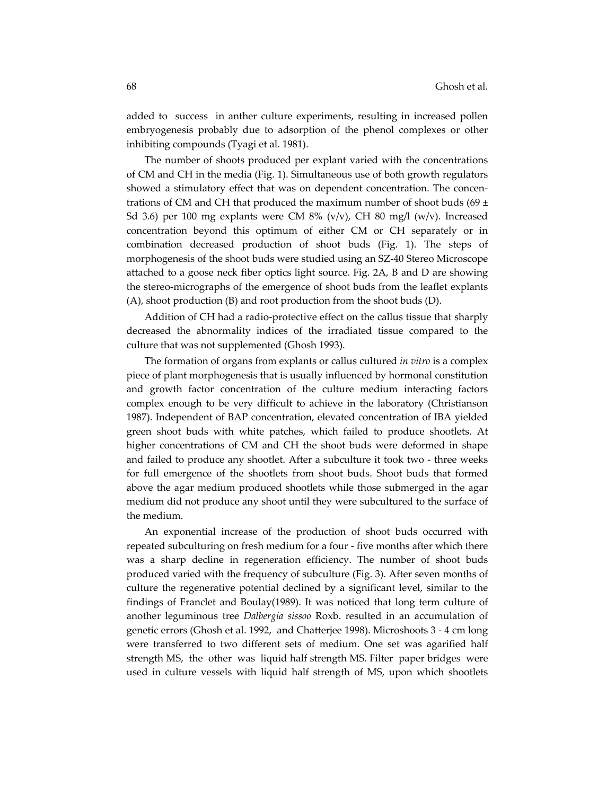added to success in anther culture experiments, resulting in increased pollen embryogenesis probably due to adsorption of the phenol complexes or other inhibiting compounds (Tyagi et al. 1981).

The number of shoots produced per explant varied with the concentrations of CM and CH in the media (Fig. 1). Simultaneous use of both growth regulators showed a stimulatory effect that was on dependent concentration. The concentrations of CM and CH that produced the maximum number of shoot buds (69  $\pm$ Sd 3.6) per 100 mg explants were CM 8% (v/v), CH 80 mg/l (w/v). Increased concentration beyond this optimum of either CM or CH separately or in combination decreased production of shoot buds (Fig. 1). The steps of morphogenesis of the shoot buds were studied using an SZ‐40 Stereo Microscope attached to a goose neck fiber optics light source. Fig. 2A, B and D are showing the stereo‐micrographs of the emergence of shoot buds from the leaflet explants (A), shoot production (B) and root production from the shoot buds (D).

Addition of CH had a radio‐protective effect on the callus tissue that sharply decreased the abnormality indices of the irradiated tissue compared to the culture that was not supplemented (Ghosh 1993).

The formation of organs from explants or callus cultured *in vitro* is a complex piece of plant morphogenesis that is usually influenced by hormonal constitution and growth factor concentration of the culture medium interacting factors complex enough to be very difficult to achieve in the laboratory (Christianson 1987). Independent of BAP concentration, elevated concentration of IBA yielded green shoot buds with white patches, which failed to produce shootlets. At higher concentrations of CM and CH the shoot buds were deformed in shape and failed to produce any shootlet. After a subculture it took two ‐ three weeks for full emergence of the shootlets from shoot buds. Shoot buds that formed above the agar medium produced shootlets while those submerged in the agar medium did not produce any shoot until they were subcultured to the surface of the medium.

An exponential increase of the production of shoot buds occurred with repeated subculturing on fresh medium for a four ‐ five months after which there was a sharp decline in regeneration efficiency. The number of shoot buds produced varied with the frequency of subculture (Fig. 3). After seven months of culture the regenerative potential declined by a significant level, similar to the findings of Franclet and Boulay(1989). It was noticed that long term culture of another leguminous tree *Dalbergia sissoo* Roxb. resulted in an accumulation of genetic errors (Ghosh et al. 1992, and Chatterjee 1998). Microshoots 3 ‐ 4 cm long were transferred to two different sets of medium. One set was agarified half strength MS, the other was liquid half strength MS. Filter paper bridges were used in culture vessels with liquid half strength of MS, upon which shootlets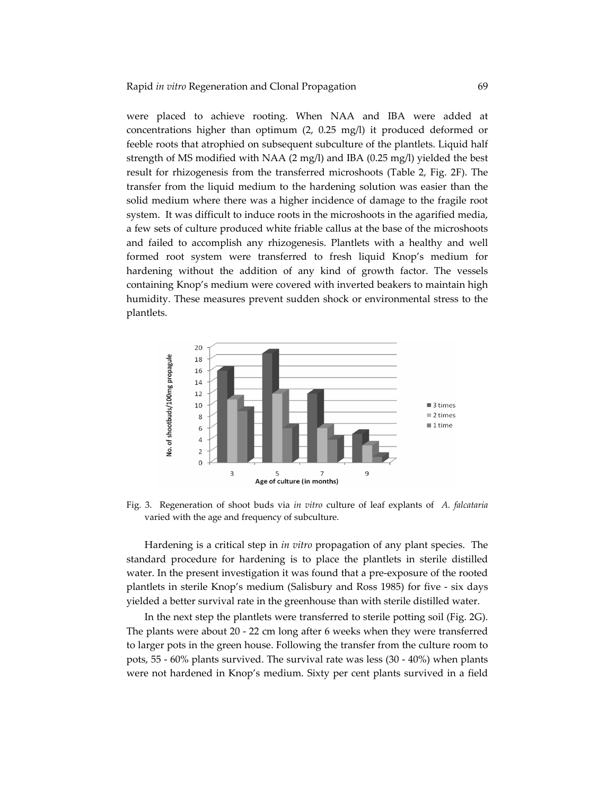were placed to achieve rooting. When NAA and IBA were added at concentrations higher than optimum (2, 0.25 mg/l) it produced deformed or feeble roots that atrophied on subsequent subculture of the plantlets. Liquid half strength of MS modified with NAA (2 mg/l) and IBA (0.25 mg/l) yielded the best result for rhizogenesis from the transferred microshoots (Table 2, Fig. 2F). The transfer from the liquid medium to the hardening solution was easier than the solid medium where there was a higher incidence of damage to the fragile root system. It was difficult to induce roots in the microshoots in the agarified media, a few sets of culture produced white friable callus at the base of the microshoots and failed to accomplish any rhizogenesis. Plantlets with a healthy and well formed root system were transferred to fresh liquid Knop's medium for hardening without the addition of any kind of growth factor. The vessels containing Knop's medium were covered with inverted beakers to maintain high humidity. These measures prevent sudden shock or environmental stress to the plantlets.



Fig. 3. Regeneration of shoot buds via *in vitro* culture of leaf explants of *A. falcataria* varied with the age and frequency of subculture.

Hardening is a critical step in *in vitro* propagation of any plant species. The standard procedure for hardening is to place the plantlets in sterile distilled water. In the present investigation it was found that a pre-exposure of the rooted plantlets in sterile Knop's medium (Salisbury and Ross 1985) for five ‐ six days yielded a better survival rate in the greenhouse than with sterile distilled water.

In the next step the plantlets were transferred to sterile potting soil (Fig. 2G). The plants were about 20 ‐ 22 cm long after 6 weeks when they were transferred to larger pots in the green house. Following the transfer from the culture room to pots, 55 ‐ 60% plants survived. The survival rate was less (30 ‐ 40%) when plants were not hardened in Knop's medium. Sixty per cent plants survived in a field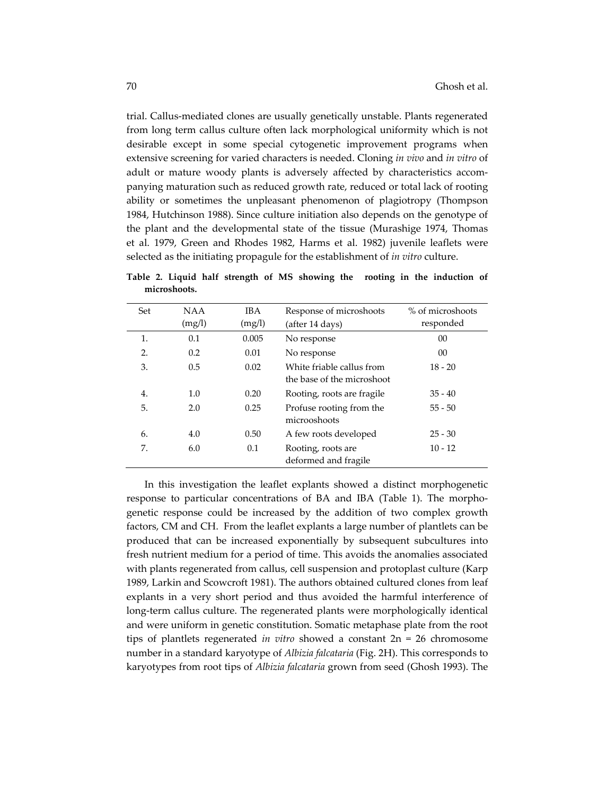trial. Callus‐mediated clones are usually genetically unstable. Plants regenerated from long term callus culture often lack morphological uniformity which is not desirable except in some special cytogenetic improvement programs when extensive screening for varied characters is needed. Cloning *in vivo* and *in vitro* of adult or mature woody plants is adversely affected by characteristics accom‐ panying maturation such as reduced growth rate, reduced or total lack of rooting ability or sometimes the unpleasant phenomenon of plagiotropy (Thompson 1984, Hutchinson 1988). Since culture initiation also depends on the genotype of the plant and the developmental state of the tissue (Murashige 1974, Thomas et al. 1979, Green and Rhodes 1982, Harms et al. 1982) juvenile leaflets were selected as the initiating propagule for the establishment of *in vitro* culture.

| Set | <b>NAA</b><br>(mg/l) | IBA<br>(mg/l) | Response of microshoots<br>(after 14 days)              | % of microshoots<br>responded |
|-----|----------------------|---------------|---------------------------------------------------------|-------------------------------|
| 1.  | 0.1                  | 0.005         | No response                                             | 00                            |
| 2.  | 0.2                  | 0.01          | No response                                             | 00                            |
| 3.  | 0.5                  | 0.02          | White friable callus from<br>the base of the microshoot | $18 - 20$                     |
| 4.  | 1.0                  | 0.20          | Rooting, roots are fragile                              | $35 - 40$                     |
| 5.  | 2.0                  | 0.25          | Profuse rooting from the<br>microoshoots                | $55 - 50$                     |
| 6.  | 4.0                  | 0.50          | A few roots developed                                   | $25 - 30$                     |
| 7.  | 6.0                  | 0.1           | Rooting, roots are<br>deformed and fragile              | $10 - 12$                     |

**Table 2. Liquid half strength of MS showing the rooting in the induction of microshoots.** 

In this investigation the leaflet explants showed a distinct morphogenetic response to particular concentrations of BA and IBA (Table 1). The morpho‐ genetic response could be increased by the addition of two complex growth factors, CM and CH. From the leaflet explants a large number of plantlets can be produced that can be increased exponentially by subsequent subcultures into fresh nutrient medium for a period of time. This avoids the anomalies associated with plants regenerated from callus, cell suspension and protoplast culture (Karp 1989, Larkin and Scowcroft 1981). The authors obtained cultured clones from leaf explants in a very short period and thus avoided the harmful interference of long-term callus culture. The regenerated plants were morphologically identical and were uniform in genetic constitution. Somatic metaphase plate from the root tips of plantlets regenerated *in vitro* showed a constant 2n = 26 chromosome number in a standard karyotype of *Albizia falcataria* (Fig. 2H). This corresponds to karyotypes from root tips of *Albizia falcataria* grown from seed (Ghosh 1993). The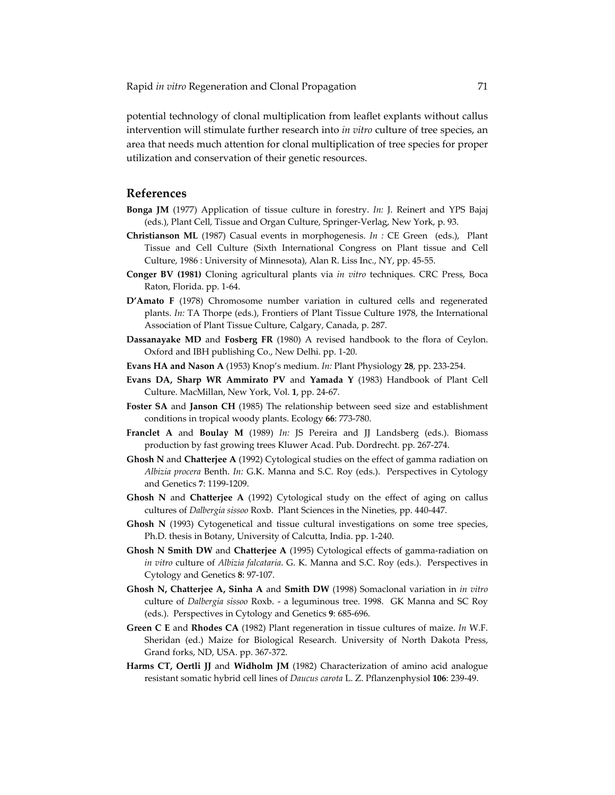Rapid *in vitro* Regeneration and Clonal Propagation 71

potential technology of clonal multiplication from leaflet explants without callus intervention will stimulate further research into *in vitro* culture of tree species, an area that needs much attention for clonal multiplication of tree species for proper utilization and conservation of their genetic resources.

#### **References**

- **Bonga JM** (1977) Application of tissue culture in forestry. *In:* J. Reinert and YPS Bajaj (eds.), Plant Cell, Tissue and Organ Culture, Springer‐Verlag, New York, p. 93.
- **Christianson ML** (1987) Casual events in morphogenesis. *In :* CE Green (eds.), Plant Tissue and Cell Culture (Sixth International Congress on Plant tissue and Cell Culture, 1986 : University of Minnesota), Alan R. Liss Inc., NY, pp. 45‐55.
- **Conger BV (1981)** Cloning agricultural plants via *in vitro* techniques. CRC Press, Boca Raton, Florida. pp. 1‐64.
- **D'Amato F** (1978) Chromosome number variation in cultured cells and regenerated plants. *In:* TA Thorpe (eds.), Frontiers of Plant Tissue Culture 1978, the International Association of Plant Tissue Culture, Calgary, Canada, p. 287.
- **Dassanayake MD** and **Fosberg FR** (1980) A revised handbook to the flora of Ceylon. Oxford and IBH publishing Co., New Delhi. pp. 1‐20.
- **Evans HA and Nason A** (1953) Knop's medium. *In:* Plant Physiology **28**, pp. 233‐254.
- **Evans DA, Sharp WR Ammirato PV** and **Yamada Y** (1983) Handbook of Plant Cell Culture. MacMillan, New York, Vol. **1**, pp. 24‐67.
- **Foster SA** and **Janson CH** (1985) The relationship between seed size and establishment conditions in tropical woody plants. Ecology **66**: 773‐780.
- **Franclet A** and **Boulay M** (1989) *In:* JS Pereira and JJ Landsberg (eds.). Biomass production by fast growing trees Kluwer Acad. Pub. Dordrecht. pp. 267‐274.
- **Ghosh N** and **Chatterjee A** (1992) Cytological studies on the effect of gamma radiation on *Albizia procera* Benth. *In:* G.K. Manna and S.C. Roy (eds.). Perspectives in Cytology and Genetics **7**: 1199‐1209.
- **Ghosh N** and **Chatterjee A** (1992) Cytological study on the effect of aging on callus cultures of *Dalbergia sissoo* Roxb. Plant Sciences in the Nineties, pp. 440‐447.
- **Ghosh N** (1993) Cytogenetical and tissue cultural investigations on some tree species, Ph.D. thesis in Botany, University of Calcutta, India. pp. 1‐240.
- **Ghosh N Smith DW** and **Chatterjee A** (1995) Cytological effects of gamma‐radiation on *in vitro* culture of *Albizia falcataria*. G. K. Manna and S.C. Roy (eds.). Perspectives in Cytology and Genetics **8**: 97‐107.
- **Ghosh N, Chatterjee A, Sinha A** and **Smith DW** (1998) Somaclonal variation in *in vitro* culture of *Dalbergia sissoo* Roxb. ‐ a leguminous tree. 1998. GK Manna and SC Roy (eds.). Perspectives in Cytology and Genetics **9**: 685‐696.
- **Green C E** and **Rhodes CA** (1982) Plant regeneration in tissue cultures of maize. *In* W.F. Sheridan (ed.) Maize for Biological Research. University of North Dakota Press, Grand forks, ND, USA. pp. 367‐372.
- **Harms CT, Oertli JJ** and **Widholm JM** (1982) Characterization of amino acid analogue resistant somatic hybrid cell lines of *Daucus carota* L. Z. Pflanzenphysiol **106**: 239‐49.